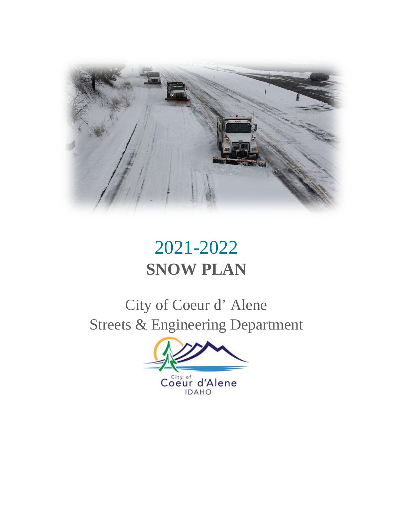

# 2021-2022 **SNOW PLAN**

City of Coeur d' Alene Streets & Engineering Department

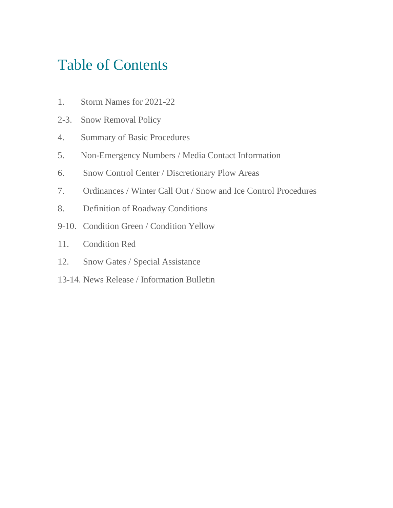# Table of Contents

- 1. Storm Names for 2021-22
- 2-3. Snow Removal Policy
- 4. Summary of Basic Procedures
- 5. Non-Emergency Numbers / Media Contact Information
- 6. Snow Control Center / Discretionary Plow Areas
- 7. Ordinances / Winter Call Out / Snow and Ice Control Procedures
- 8. Definition of Roadway Conditions
- 9-10. Condition Green / Condition Yellow
- 11. Condition Red
- 12. Snow Gates / Special Assistance
- 13-14. News Release / Information Bulletin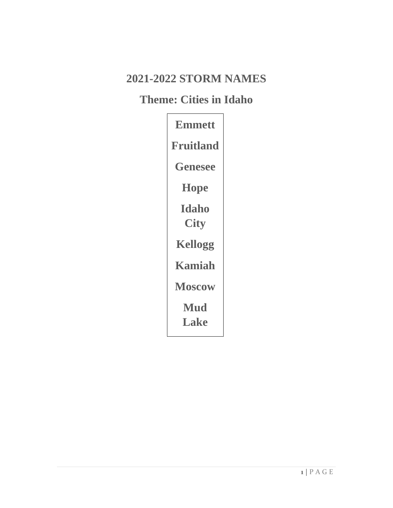## **2021-2022 STORM NAMES**

### **Theme: Cities in Idaho**

| <b>Emmett</b>        |  |
|----------------------|--|
| <b>Fruitland</b>     |  |
| <b>Genesee</b>       |  |
| <b>Hope</b>          |  |
| Idaho<br><b>City</b> |  |
| <b>Kellogg</b>       |  |
| Kamiah               |  |
| <b>Moscow</b>        |  |
| <b>Mud</b><br>Lake   |  |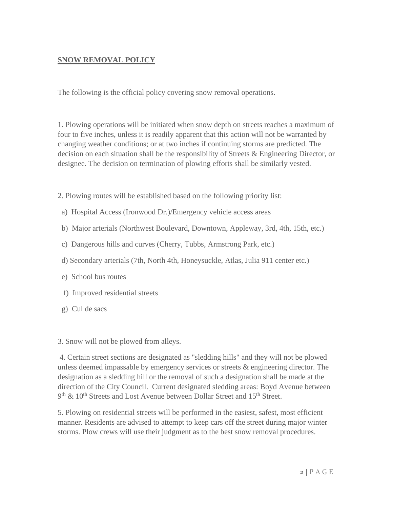#### **SNOW REMOVAL POLICY**

The following is the official policy covering snow removal operations.

1. Plowing operations will be initiated when snow depth on streets reaches a maximum of four to five inches, unless it is readily apparent that this action will not be warranted by changing weather conditions; or at two inches if continuing storms are predicted. The decision on each situation shall be the responsibility of Streets & Engineering Director, or designee. The decision on termination of plowing efforts shall be similarly vested.

2. Plowing routes will be established based on the following priority list:

- a) Hospital Access (Ironwood Dr.)/Emergency vehicle access areas
- b) Major arterials (Northwest Boulevard, Downtown, Appleway, 3rd, 4th, 15th, etc.)
- c) Dangerous hills and curves (Cherry, Tubbs, Armstrong Park, etc.)
- d) Secondary arterials (7th, North 4th, Honeysuckle, Atlas, Julia 911 center etc.)
- e) School bus routes
- f) Improved residential streets
- g) Cul de sacs

3. Snow will not be plowed from alleys.

4. Certain street sections are designated as "sledding hills" and they will not be plowed unless deemed impassable by emergency services or streets & engineering director. The designation as a sledding hill or the removal of such a designation shall be made at the direction of the City Council. Current designated sledding areas: Boyd Avenue between  $9<sup>th</sup>$  & 10<sup>th</sup> Streets and Lost Avenue between Dollar Street and 15<sup>th</sup> Street.

5. Plowing on residential streets will be performed in the easiest, safest, most efficient manner. Residents are advised to attempt to keep cars off the street during major winter storms. Plow crews will use their judgment as to the best snow removal procedures.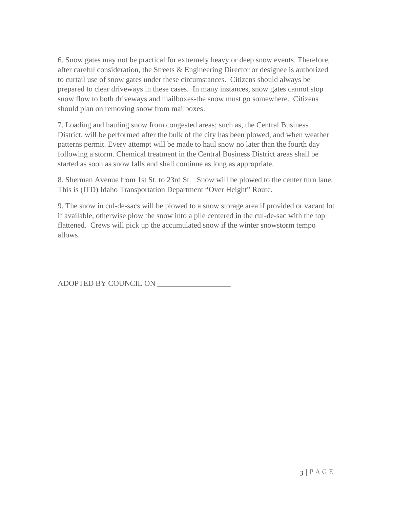6. Snow gates may not be practical for extremely heavy or deep snow events. Therefore, after careful consideration, the Streets & Engineering Director or designee is authorized to curtail use of snow gates under these circumstances. Citizens should always be prepared to clear driveways in these cases. In many instances, snow gates cannot stop snow flow to both driveways and mailboxes-the snow must go somewhere. Citizens should plan on removing snow from mailboxes.

7. Loading and hauling snow from congested areas; such as, the Central Business District, will be performed after the bulk of the city has been plowed, and when weather patterns permit. Every attempt will be made to haul snow no later than the fourth day following a storm. Chemical treatment in the Central Business District areas shall be started as soon as snow falls and shall continue as long as appropriate.

8. Sherman Avenue from 1st St. to 23rd St. Snow will be plowed to the center turn lane. This is (ITD) Idaho Transportation Department "Over Height" Route.

9. The snow in cul-de-sacs will be plowed to a snow storage area if provided or vacant lot if available, otherwise plow the snow into a pile centered in the cul-de-sac with the top flattened. Crews will pick up the accumulated snow if the winter snowstorm tempo allows.

ADOPTED BY COUNCIL ON \_\_\_\_\_\_\_\_\_\_\_\_\_\_\_\_\_\_\_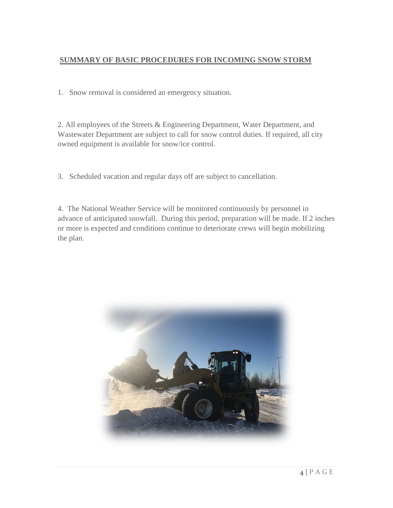#### **SUMMARY OF BASIC PROCEDURES FOR INCOMING SNOW STORM**

1. Snow removal is considered an emergency situation.

2. All employees of the Streets & Engineering Department, Water Department, and Wastewater Department are subject to call for snow control duties. If required, all city owned equipment is available for snow/ice control.

3. Scheduled vacation and regular days off are subject to cancellation.

4. The National Weather Service will be monitored continuously by personnel in advance of anticipated snowfall. During this period, preparation will be made. If 2 inches or more is expected and conditions continue to deteriorate crews will begin mobilizing the plan.

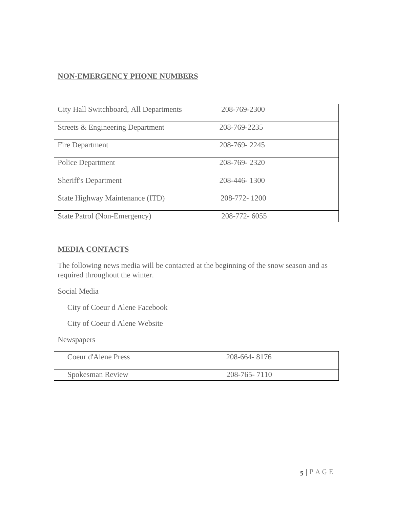#### **NON-EMERGENCY PHONE NUMBERS**

| City Hall Switchboard, All Departments | 208-769-2300 |
|----------------------------------------|--------------|
| Streets & Engineering Department       | 208-769-2235 |
| Fire Department                        | 208-769-2245 |
| Police Department                      | 208-769-2320 |
| <b>Sheriff's Department</b>            | 208-446-1300 |
| State Highway Maintenance (ITD)        | 208-772-1200 |
| State Patrol (Non-Emergency)           | 208-772-6055 |

#### **MEDIA CONTACTS**

The following news media will be contacted at the beginning of the snow season and as required throughout the winter.

Social Media

City of Coeur d Alene Facebook

City of Coeur d Alene Website

Newspapers

| Coeur d'Alene Press | 208-664-8176 |
|---------------------|--------------|
| Spokesman Review    | 208-765-7110 |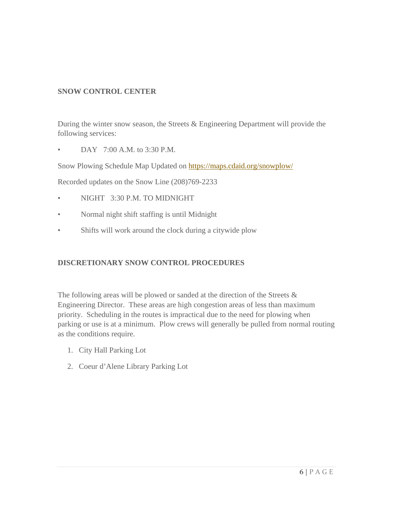#### **SNOW CONTROL CENTER**

During the winter snow season, the Streets & Engineering Department will provide the following services:

• DAY 7:00 A.M. to 3:30 P.M.

Snow Plowing Schedule Map Updated on<https://maps.cdaid.org/snowplow/>

Recorded updates on the Snow Line (208)769-2233

- NIGHT 3:30 P.M. TO MIDNIGHT
- Normal night shift staffing is until Midnight
- Shifts will work around the clock during a citywide plow

#### **DISCRETIONARY SNOW CONTROL PROCEDURES**

The following areas will be plowed or sanded at the direction of the Streets & Engineering Director. These areas are high congestion areas of less than maximum priority. Scheduling in the routes is impractical due to the need for plowing when parking or use is at a minimum. Plow crews will generally be pulled from normal routing as the conditions require.

- 1. City Hall Parking Lot
- 2. Coeur d'Alene Library Parking Lot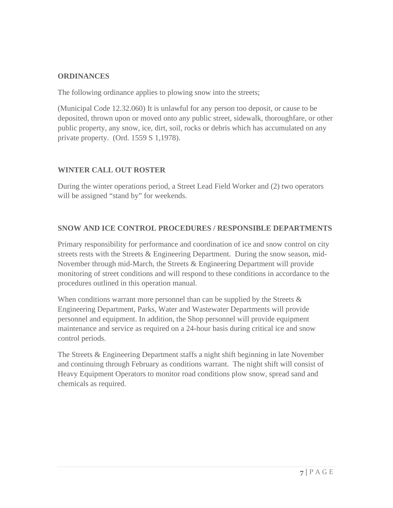#### **ORDINANCES**

The following ordinance applies to plowing snow into the streets;

(Municipal Code 12.32.060) It is unlawful for any person too deposit, or cause to be deposited, thrown upon or moved onto any public street, sidewalk, thoroughfare, or other public property, any snow, ice, dirt, soil, rocks or debris which has accumulated on any private property. (Ord. 1559 S 1,1978).

#### **WINTER CALL OUT ROSTER**

During the winter operations period, a Street Lead Field Worker and (2) two operators will be assigned "stand by" for weekends.

#### **SNOW AND ICE CONTROL PROCEDURES / RESPONSIBLE DEPARTMENTS**

Primary responsibility for performance and coordination of ice and snow control on city streets rests with the Streets & Engineering Department. During the snow season, mid-November through mid-March, the Streets & Engineering Department will provide monitoring of street conditions and will respond to these conditions in accordance to the procedures outlined in this operation manual.

When conditions warrant more personnel than can be supplied by the Streets & Engineering Department, Parks, Water and Wastewater Departments will provide personnel and equipment. In addition, the Shop personnel will provide equipment maintenance and service as required on a 24-hour basis during critical ice and snow control periods.

The Streets & Engineering Department staffs a night shift beginning in late November and continuing through February as conditions warrant. The night shift will consist of Heavy Equipment Operators to monitor road conditions plow snow, spread sand and chemicals as required.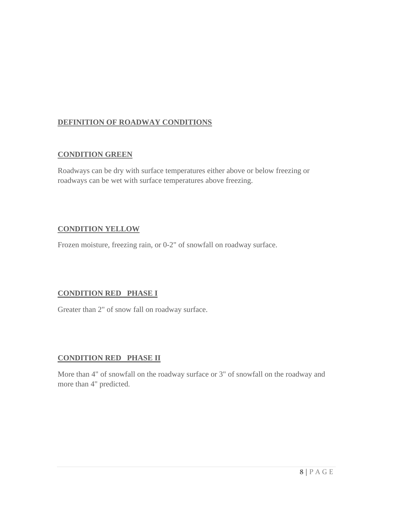#### **DEFINITION OF ROADWAY CONDITIONS**

#### **CONDITION GREEN**

Roadways can be dry with surface temperatures either above or below freezing or roadways can be wet with surface temperatures above freezing.

#### **CONDITION YELLOW**

Frozen moisture, freezing rain, or 0-2" of snowfall on roadway surface.

#### **CONDITION RED PHASE I**

Greater than 2" of snow fall on roadway surface.

#### **CONDITION RED PHASE II**

More than 4" of snowfall on the roadway surface or 3" of snowfall on the roadway and more than 4" predicted.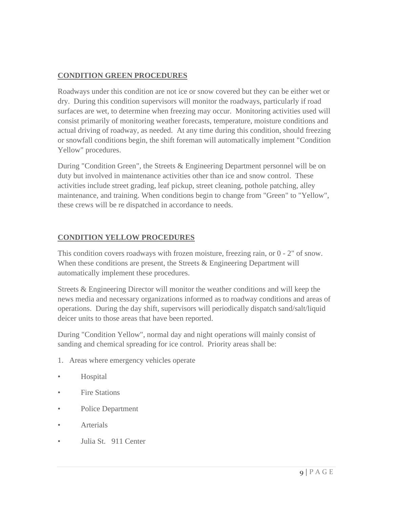#### **CONDITION GREEN PROCEDURES**

Roadways under this condition are not ice or snow covered but they can be either wet or dry. During this condition supervisors will monitor the roadways, particularly if road surfaces are wet, to determine when freezing may occur. Monitoring activities used will consist primarily of monitoring weather forecasts, temperature, moisture conditions and actual driving of roadway, as needed. At any time during this condition, should freezing or snowfall conditions begin, the shift foreman will automatically implement "Condition Yellow" procedures.

During "Condition Green", the Streets & Engineering Department personnel will be on duty but involved in maintenance activities other than ice and snow control. These activities include street grading, leaf pickup, street cleaning, pothole patching, alley maintenance, and training. When conditions begin to change from "Green" to "Yellow", these crews will be re dispatched in accordance to needs.

#### **CONDITION YELLOW PROCEDURES**

This condition covers roadways with frozen moisture, freezing rain, or 0 - 2" of snow. When these conditions are present, the Streets & Engineering Department will automatically implement these procedures.

Streets & Engineering Director will monitor the weather conditions and will keep the news media and necessary organizations informed as to roadway conditions and areas of operations. During the day shift, supervisors will periodically dispatch sand/salt/liquid deicer units to those areas that have been reported.

During "Condition Yellow", normal day and night operations will mainly consist of sanding and chemical spreading for ice control. Priority areas shall be:

- 1. Areas where emergency vehicles operate
- Hospital
- Fire Stations
- Police Department
- **Arterials**
- Julia St. 911 Center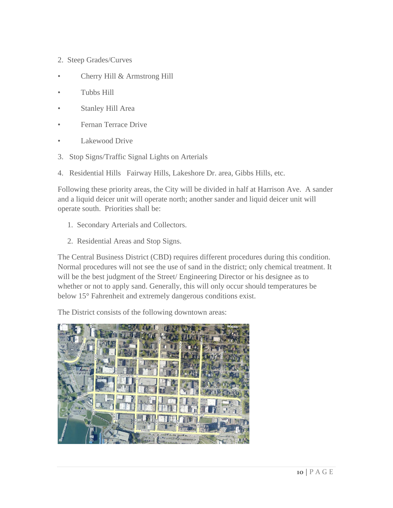- 2. Steep Grades/Curves
- Cherry Hill & Armstrong Hill
- Tubbs Hill
- Stanley Hill Area
- Fernan Terrace Drive
- Lakewood Drive
- 3. Stop Signs/Traffic Signal Lights on Arterials
- 4. Residential Hills Fairway Hills, Lakeshore Dr. area, Gibbs Hills, etc.

Following these priority areas, the City will be divided in half at Harrison Ave. A sander and a liquid deicer unit will operate north; another sander and liquid deicer unit will operate south. Priorities shall be:

- 1. Secondary Arterials and Collectors.
- 2. Residential Areas and Stop Signs.

The Central Business District (CBD) requires different procedures during this condition. Normal procedures will not see the use of sand in the district; only chemical treatment. It will be the best judgment of the Street/ Engineering Director or his designee as to whether or not to apply sand. Generally, this will only occur should temperatures be below 15° Fahrenheit and extremely dangerous conditions exist.

The District consists of the following downtown areas:

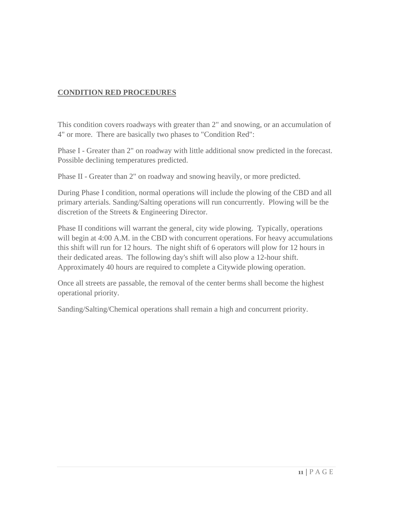#### **CONDITION RED PROCEDURES**

This condition covers roadways with greater than 2" and snowing, or an accumulation of 4" or more. There are basically two phases to "Condition Red":

Phase I - Greater than 2" on roadway with little additional snow predicted in the forecast. Possible declining temperatures predicted.

Phase II - Greater than 2" on roadway and snowing heavily, or more predicted.

During Phase I condition, normal operations will include the plowing of the CBD and all primary arterials. Sanding/Salting operations will run concurrently. Plowing will be the discretion of the Streets & Engineering Director.

Phase II conditions will warrant the general, city wide plowing. Typically, operations will begin at 4:00 A.M. in the CBD with concurrent operations. For heavy accumulations this shift will run for 12 hours. The night shift of 6 operators will plow for 12 hours in their dedicated areas. The following day's shift will also plow a 12-hour shift. Approximately 40 hours are required to complete a Citywide plowing operation.

Once all streets are passable, the removal of the center berms shall become the highest operational priority.

Sanding/Salting/Chemical operations shall remain a high and concurrent priority.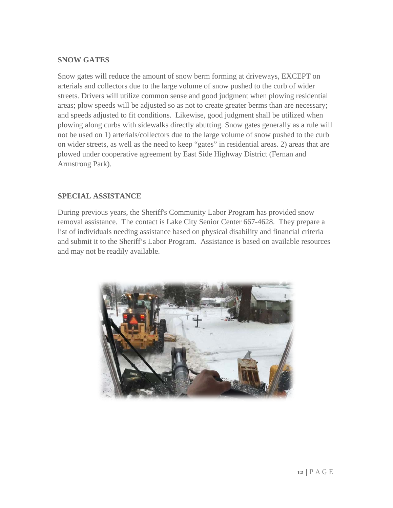#### **SNOW GATES**

Snow gates will reduce the amount of snow berm forming at driveways, EXCEPT on arterials and collectors due to the large volume of snow pushed to the curb of wider streets. Drivers will utilize common sense and good judgment when plowing residential areas; plow speeds will be adjusted so as not to create greater berms than are necessary; and speeds adjusted to fit conditions. Likewise, good judgment shall be utilized when plowing along curbs with sidewalks directly abutting. Snow gates generally as a rule will not be used on 1) arterials/collectors due to the large volume of snow pushed to the curb on wider streets, as well as the need to keep "gates" in residential areas. 2) areas that are plowed under cooperative agreement by East Side Highway District (Fernan and Armstrong Park).

#### **SPECIAL ASSISTANCE**

During previous years, the Sheriff's Community Labor Program has provided snow removal assistance. The contact is Lake City Senior Center 667-4628. They prepare a list of individuals needing assistance based on physical disability and financial criteria and submit it to the Sheriff's Labor Program. Assistance is based on available resources and may not be readily available.

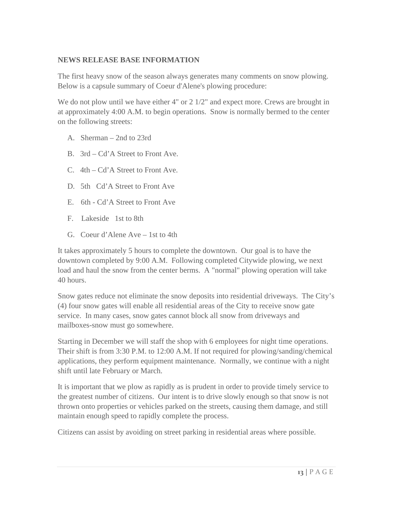#### **NEWS RELEASE BASE INFORMATION**

The first heavy snow of the season always generates many comments on snow plowing. Below is a capsule summary of Coeur d'Alene's plowing procedure:

We do not plow until we have either 4" or 2 1/2" and expect more. Crews are brought in at approximately 4:00 A.M. to begin operations. Snow is normally bermed to the center on the following streets:

- A. Sherman 2nd to 23rd
- B. 3rd Cd'A Street to Front Ave.
- C. 4th Cd'A Street to Front Ave.
- D. 5th Cd'A Street to Front Ave
- E. 6th Cd'A Street to Front Ave
- F. Lakeside 1st to 8th
- G. Coeur d'Alene Ave 1st to 4th

It takes approximately 5 hours to complete the downtown. Our goal is to have the downtown completed by 9:00 A.M. Following completed Citywide plowing, we next load and haul the snow from the center berms. A "normal" plowing operation will take 40 hours.

Snow gates reduce not eliminate the snow deposits into residential driveways. The City's (4) four snow gates will enable all residential areas of the City to receive snow gate service. In many cases, snow gates cannot block all snow from driveways and mailboxes-snow must go somewhere.

Starting in December we will staff the shop with 6 employees for night time operations. Their shift is from 3:30 P.M. to 12:00 A.M. If not required for plowing/sanding/chemical applications, they perform equipment maintenance. Normally, we continue with a night shift until late February or March.

It is important that we plow as rapidly as is prudent in order to provide timely service to the greatest number of citizens. Our intent is to drive slowly enough so that snow is not thrown onto properties or vehicles parked on the streets, causing them damage, and still maintain enough speed to rapidly complete the process.

Citizens can assist by avoiding on street parking in residential areas where possible.